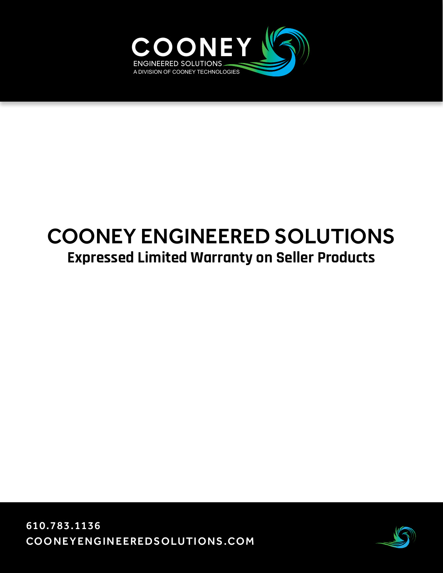

# COONEY ENGINEERED SOLUTIONS **Expressed Limited Warranty on Seller Products**

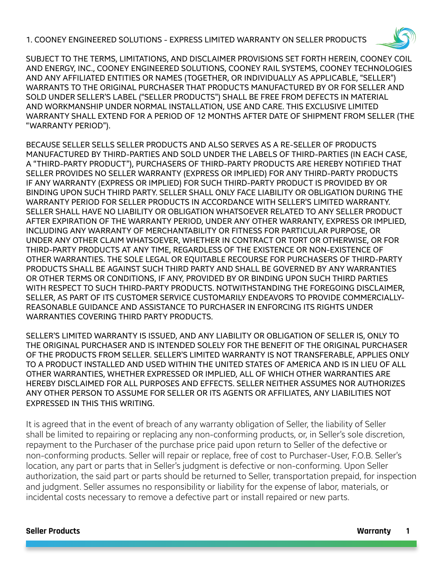1. COONEY ENGINEERED SOLUTIONS - EXPRESS LIMITED WARRANTY ON SELLER PRODUCTS



SUBJECT TO THE TERMS, LIMITATIONS, AND DISCLAIMER PROVISIONS SET FORTH HEREIN, COONEY COIL AND ENERGY, INC., COONEY ENGINEERED SOLUTIONS, COONEY RAIL SYSTEMS, COONEY TECHNOLOGIES AND ANY AFFILIATED ENTITIES OR NAMES (TOGETHER, OR INDIVIDUALLY AS APPLICABLE, "SELLER") WARRANTS TO THE ORIGINAL PURCHASER THAT PRODUCTS MANUFACTURED BY OR FOR SELLER AND SOLD UNDER SELLER'S LABEL ("SELLER PRODUCTS") SHALL BE FREE FROM DEFECTS IN MATERIAL AND WORKMANSHIP UNDER NORMAL INSTALLATION, USE AND CARE. THIS EXCLUSIVE LIMITED WARRANTY SHALL EXTEND FOR A PERIOD OF 12 MONTHS AFTER DATE OF SHIPMENT FROM SELLER (THE "WARRANTY PERIOD").

BECAUSE SELLER SELLS SELLER PRODUCTS AND ALSO SERVES AS A RE-SELLER OF PRODUCTS MANUFACTURED BY THIRD-PARTIES AND SOLD UNDER THE LABELS OF THIRD-PARTIES (IN EACH CASE, A "THIRD-PARTY PRODUCT"), PURCHASERS OF THIRD-PARTY PRODUCTS ARE HEREBY NOTIFIED THAT SELLER PROVIDES NO SELLER WARRANTY (EXPRESS OR IMPLIED) FOR ANY THIRD-PARTY PRODUCTS IF ANY WARRANTY (EXPRESS OR IMPLIED) FOR SUCH THIRD-PARTY PRODUCT IS PROVIDED BY OR BINDING UPON SUCH THIRD PARTY. SELLER SHALL ONLY FACE LIABILITY OR OBLIGATION DURING THE WARRANTY PERIOD FOR SELLER PRODUCTS IN ACCORDANCE WITH SELLER'S LIMITED WARRANTY. SELLER SHALL HAVE NO LIABILITY OR OBLIGATION WHATSOEVER RELATED TO ANY SELLER PRODUCT AFTER EXPIRATION OF THE WARRANTY PERIOD, UNDER ANY OTHER WARRANTY, EXPRESS OR IMPLIED, INCLUDING ANY WARRANTY OF MERCHANTABILITY OR FITNESS FOR PARTICULAR PURPOSE, OR UNDER ANY OTHER CLAIM WHATSOEVER, WHETHER IN CONTRACT OR TORT OR OTHERWISE, OR FOR THIRD-PARTY PRODUCTS AT ANY TIME, REGARDLESS OF THE EXISTENCE OR NON-EXISTENCE OF OTHER WARRANTIES. THE SOLE LEGAL OR EQUITABLE RECOURSE FOR PURCHASERS OF THIRD-PARTY PRODUCTS SHALL BE AGAINST SUCH THIRD PARTY AND SHALL BE GOVERNED BY ANY WARRANTIES OR OTHER TERMS OR CONDITIONS, IF ANY, PROVIDED BY OR BINDING UPON SUCH THIRD PARTIES WITH RESPECT TO SUCH THIRD-PARTY PRODUCTS. NOTWITHSTANDING THE FOREGOING DISCLAIMER, SELLER, AS PART OF ITS CUSTOMER SERVICE CUSTOMARILY ENDEAVORS TO PROVIDE COMMERCIALLY-REASONABLE GUIDANCE AND ASSISTANCE TO PURCHASER IN ENFORCING ITS RIGHTS UNDER WARRANTIES COVERING THIRD PARTY PRODUCTS.

SELLER'S LIMITED WARRANTY IS ISSUED, AND ANY LIABILITY OR OBLIGATION OF SELLER IS, ONLY TO THE ORIGINAL PURCHASER AND IS INTENDED SOLELY FOR THE BENEFIT OF THE ORIGINAL PURCHASER OF THE PRODUCTS FROM SELLER. SELLER'S LIMITED WARRANTY IS NOT TRANSFERABLE, APPLIES ONLY TO A PRODUCT INSTALLED AND USED WITHIN THE UNITED STATES OF AMERICA AND IS IN LIEU OF ALL OTHER WARRANTIES, WHETHER EXPRESSED OR IMPLIED, ALL OF WHICH OTHER WARRANTIES ARE HEREBY DISCLAIMED FOR ALL PURPOSES AND EFFECTS. SELLER NEITHER ASSUMES NOR AUTHORIZES ANY OTHER PERSON TO ASSUME FOR SELLER OR ITS AGENTS OR AFFILIATES, ANY LIABILITIES NOT EXPRESSED IN THIS THIS WRITING.

It is agreed that in the event of breach of any warranty obligation of Seller, the liability of Seller shall be limited to repairing or replacing any non-conforming products, or, in Seller's sole discretion, repayment to the Purchaser of the purchase price paid upon return to Seller of the defective or non-conforming products. Seller will repair or replace, free of cost to Purchaser-User, F.O.B. Seller's location, any part or parts that in Seller's judgment is defective or non-conforming. Upon Seller authorization, the said part or parts should be returned to Seller, transportation prepaid, for inspection and judgment. Seller assumes no responsibility or liability for the expense of labor, materials, or incidental costs necessary to remove a defective part or install repaired or new parts.

#### **Seller Products Warranty 1**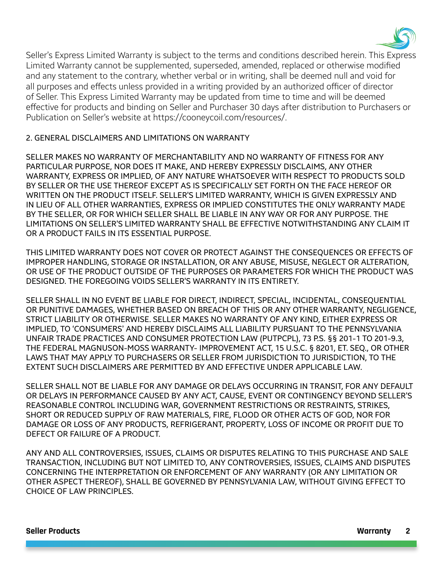

Seller's Express Limited Warranty is subject to the terms and conditions described herein. This Express Limited Warranty cannot be supplemented, superseded, amended, replaced or otherwise modified and any statement to the contrary, whether verbal or in writing, shall be deemed null and void for all purposes and effects unless provided in a writing provided by an authorized officer of director of Seller. This Express Limited Warranty may be updated from time to time and will be deemed effective for products and binding on Seller and Purchaser 30 days after distribution to Purchasers or Publication on Seller's website at https://cooneycoil.com/resources/.

#### 2. GENERAL DISCLAIMERS AND LIMITATIONS ON WARRANTY

SELLER MAKES NO WARRANTY OF MERCHANTABILITY AND NO WARRANTY OF FITNESS FOR ANY PARTICULAR PURPOSE, NOR DOES IT MAKE, AND HEREBY EXPRESSLY DISCLAIMS, ANY OTHER WARRANTY, EXPRESS OR IMPLIED, OF ANY NATURE WHATSOEVER WITH RESPECT TO PRODUCTS SOLD BY SELLER OR THE USE THEREOF EXCEPT AS IS SPECIFICALLY SET FORTH ON THE FACE HEREOF OR WRITTEN ON THE PRODUCT ITSELF. SELLER'S LIMITED WARRANTY, WHICH IS GIVEN EXPRESSLY AND IN LIEU OF ALL OTHER WARRANTIES, EXPRESS OR IMPLIED CONSTITUTES THE ONLY WARRANTY MADE BY THE SELLER, OR FOR WHICH SELLER SHALL BE LIABLE IN ANY WAY OR FOR ANY PURPOSE. THE LIMITATIONS ON SELLER'S LIMITED WARRANTY SHALL BE EFFECTIVE NOTWITHSTANDING ANY CLAIM IT OR A PRODUCT FAILS IN ITS ESSENTIAL PURPOSE.

THIS LIMITED WARRANTY DOES NOT COVER OR PROTECT AGAINST THE CONSEQUENCES OR EFFECTS OF IMPROPER HANDLING, STORAGE OR INSTALLATION, OR ANY ABUSE, MISUSE, NEGLECT OR ALTERATION, OR USE OF THE PRODUCT OUTSIDE OF THE PURPOSES OR PARAMETERS FOR WHICH THE PRODUCT WAS DESIGNED. THE FOREGOING VOIDS SELLER'S WARRANTY IN ITS ENTIRETY.

SELLER SHALL IN NO EVENT BE LIABLE FOR DIRECT, INDIRECT, SPECIAL, INCIDENTAL, CONSEQUENTIAL OR PUNITIVE DAMAGES, WHETHER BASED ON BREACH OF THIS OR ANY OTHER WARRANTY, NEGLIGENCE, STRICT LIABILITY OR OTHERWISE. SELLER MAKES NO WARRANTY OF ANY KIND, EITHER EXPRESS OR IMPLIED, TO 'CONSUMERS' AND HEREBY DISCLAIMS ALL LIABILITY PURSUANT TO THE PENNSYLVANIA UNFAIR TRADE PRACTICES AND CONSUMER PROTECTION LAW (PUTPCPL), 73 P.S. §§ 201-1 TO 201-9.3, THE FEDERAL MAGNUSON-MOSS WARRANTY- IMPROVEMENT ACT, 15 U.S.C. § 8201, ET. SEQ., OR OTHER LAWS THAT MAY APPLY TO PURCHASERS OR SELLER FROM JURISDICTION TO JURISDICTION, TO THE EXTENT SUCH DISCLAIMERS ARE PERMITTED BY AND EFFECTIVE UNDER APPLICABLE LAW.

SELLER SHALL NOT BE LIABLE FOR ANY DAMAGE OR DELAYS OCCURRING IN TRANSIT, FOR ANY DEFAULT OR DELAYS IN PERFORMANCE CAUSED BY ANY ACT, CAUSE, EVENT OR CONTINGENCY BEYOND SELLER'S REASONABLE CONTROL INCLUDING WAR, GOVERNMENT RESTRICTIONS OR RESTRAINTS, STRIKES, SHORT OR REDUCED SUPPLY OF RAW MATERIALS, FIRE, FLOOD OR OTHER ACTS OF GOD, NOR FOR DAMAGE OR LOSS OF ANY PRODUCTS, REFRIGERANT, PROPERTY, LOSS OF INCOME OR PROFIT DUE TO DEFECT OR FAILURE OF A PRODUCT.

ANY AND ALL CONTROVERSIES, ISSUES, CLAIMS OR DISPUTES RELATING TO THIS PURCHASE AND SALE TRANSACTION, INCLUDING BUT NOT LIMITED TO, ANY CONTROVERSIES, ISSUES, CLAIMS AND DISPUTES CONCERNING THE INTERPRETATION OR ENFORCEMENT OF ANY WARRANTY (OR ANY LIMITATION OR OTHER ASPECT THEREOF), SHALL BE GOVERNED BY PENNSYLVANIA LAW, WITHOUT GIVING EFFECT TO CHOICE OF LAW PRINCIPLES.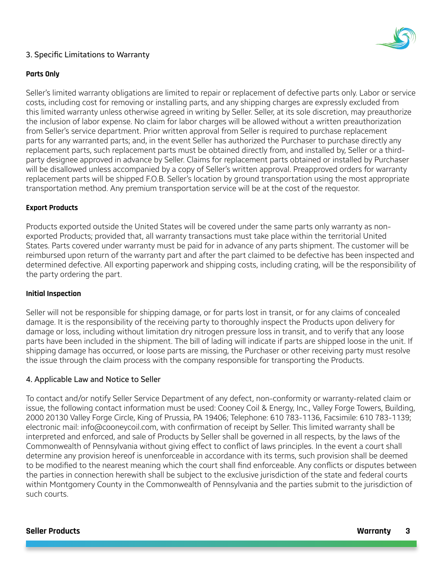

#### 3. Specific Limitations to Warranty

#### **Parts Only**

Seller's limited warranty obligations are limited to repair or replacement of defective parts only. Labor or service costs, including cost for removing or installing parts, and any shipping charges are expressly excluded from this limited warranty unless otherwise agreed in writing by Seller. Seller, at its sole discretion, may preauthorize the inclusion of labor expense. No claim for labor charges will be allowed without a written preauthorization from Seller's service department. Prior written approval from Seller is required to purchase replacement parts for any warranted parts; and, in the event Seller has authorized the Purchaser to purchase directly any replacement parts, such replacement parts must be obtained directly from, and installed by, Seller or a thirdparty designee approved in advance by Seller. Claims for replacement parts obtained or installed by Purchaser will be disallowed unless accompanied by a copy of Seller's written approval. Preapproved orders for warranty replacement parts will be shipped F.O.B. Seller's location by ground transportation using the most appropriate transportation method. Any premium transportation service will be at the cost of the requestor.

#### **Export Products**

Products exported outside the United States will be covered under the same parts only warranty as nonexported Products; provided that, all warranty transactions must take place within the territorial United States. Parts covered under warranty must be paid for in advance of any parts shipment. The customer will be reimbursed upon return of the warranty part and after the part claimed to be defective has been inspected and determined defective. All exporting paperwork and shipping costs, including crating, will be the responsibility of the party ordering the part.

#### **Initial Inspection**

Seller will not be responsible for shipping damage, or for parts lost in transit, or for any claims of concealed damage. It is the responsibility of the receiving party to thoroughly inspect the Products upon delivery for damage or loss, including without limitation dry nitrogen pressure loss in transit, and to verify that any loose parts have been included in the shipment. The bill of lading will indicate if parts are shipped loose in the unit. If shipping damage has occurred, or loose parts are missing, the Purchaser or other receiving party must resolve the issue through the claim process with the company responsible for transporting the Products.

#### 4. Applicable Law and Notice to Seller

To contact and/or notify Seller Service Department of any defect, non-conformity or warranty-related claim or issue, the following contact information must be used: Cooney Coil & Energy, Inc., Valley Forge Towers, Building, 2000 20130 Valley Forge Circle, King of Prussia, PA 19406; Telephone: 610 783-1136, Facsimile: 610 783-1139; electronic mail: info@cooneycoil.com, with confirmation of receipt by Seller. This limited warranty shall be interpreted and enforced, and sale of Products by Seller shall be governed in all respects, by the laws of the Commonwealth of Pennsylvania without giving effect to conflict of laws principles. In the event a court shall determine any provision hereof is unenforceable in accordance with its terms, such provision shall be deemed to be modified to the nearest meaning which the court shall find enforceable. Any conflicts or disputes between the parties in connection herewith shall be subject to the exclusive jurisdiction of the state and federal courts within Montgomery County in the Commonwealth of Pennsylvania and the parties submit to the jurisdiction of such courts.

#### **Seller Products Warranty 3**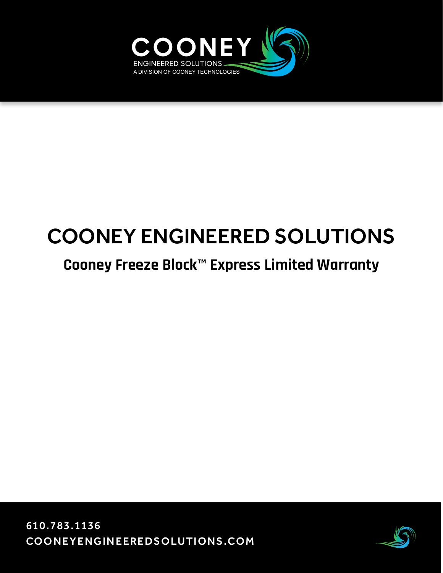

# COONEY ENGINEERED SOLUTIONS

### **Cooney Freeze Block™ Express Limited Warranty**

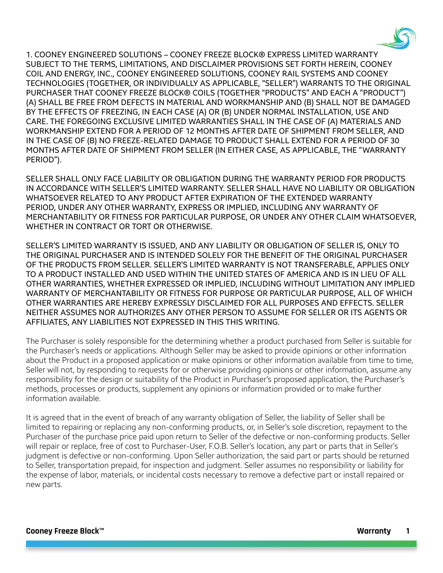

1. COONEY ENGINEERED SOLUTIONS – COONEY FREEZE BLOCK® EXPRESS LIMITED WARRANTY SUBJECT TO THE TERMS, LIMITATIONS, AND DISCLAIMER PROVISIONS SET FORTH HEREIN, COONEY COIL AND ENERGY, INC., COONEY ENGINEERED SOLUTIONS, COONEY RAIL SYSTEMS AND COONEY TECHNOLOGIES (TOGETHER, OR INDIVIDUALLY AS APPLICABLE, "SELLER") WARRANTS TO THE ORIGINAL PURCHASER THAT COONEY FREEZE BLOCK® COILS (TOGETHER "PRODUCTS" AND EACH A "PRODUCT") (A) SHALL BE FREE FROM DEFECTS IN MATERIAL AND WORKMANSHIP AND (B) SHALL NOT BE DAMAGED BY THE EFFECTS OF FREEZING, IN EACH CASE (A) OR (B) UNDER NORMAL INSTALLATION, USE AND CARE. THE FOREGOING EXCLUSIVE LIMITED WARRANTIES SHALL IN THE CASE OF (A) MATERIALS AND WORKMANSHIP EXTEND FOR A PERIOD OF 12 MONTHS AFTER DATE OF SHIPMENT FROM SELLER, AND IN THE CASE OF (B) NO FREEZE-RELATED DAMAGE TO PRODUCT SHALL EXTEND FOR A PERIOD OF 30 MONTHS AFTER DATE OF SHIPMENT FROM SELLER (IN EITHER CASE, AS APPLICABLE, THE "WARRANTY PERIOD").

SELLER SHALL ONLY FACE LIABILITY OR OBLIGATION DURING THE WARRANTY PERIOD FOR PRODUCTS IN ACCORDANCE WITH SELLER'S LIMITED WARRANTY. SELLER SHALL HAVE NO LIABILITY OR OBLIGATION WHATSOEVER RELATED TO ANY PRODUCT AFTER EXPIRATION OF THE EXTENDED WARRANTY PERIOD, UNDER ANY OTHER WARRANTY, EXPRESS OR IMPLIED, INCLUDING ANY WARRANTY OF MERCHANTABILITY OR FITNESS FOR PARTICULAR PURPOSE, OR UNDER ANY OTHER CLAIM WHATSOEVER, WHETHER IN CONTRACT OR TORT OR OTHERWISE.

SELLER'S LIMITED WARRANTY IS ISSUED, AND ANY LIABILITY OR OBLIGATION OF SELLER IS, ONLY TO THE ORIGINAL PURCHASER AND IS INTENDED SOLELY FOR THE BENEFIT OF THE ORIGINAL PURCHASER OF THE PRODUCTS FROM SELLER. SELLER'S LIMITED WARRANTY IS NOT TRANSFERABLE, APPLIES ONLY TO A PRODUCT INSTALLED AND USED WITHIN THE UNITED STATES OF AMERICA AND IS IN LIEU OF ALL OTHER WARRANTIES, WHETHER EXPRESSED OR IMPLIED, INCLUDING WITHOUT LIMITATION ANY IMPLIED WARRANTY OF MERCHANTABILITY OR FITNESS FOR PURPOSE OR PARTICULAR PURPOSE, ALL OF WHICH OTHER WARRANTIES ARE HEREBY EXPRESSLY DISCLAIMED FOR ALL PURPOSES AND EFFECTS. SELLER NEITHER ASSUMES NOR AUTHORIZES ANY OTHER PERSON TO ASSUME FOR SELLER OR ITS AGENTS OR AFFILIATES, ANY LIABILITIES NOT EXPRESSED IN THIS THIS WRITING.

The Purchaser is solely responsible for the determining whether a product purchased from Seller is suitable for the Purchaser's needs or applications. Although Seller may be asked to provide opinions or other information about the Product in a proposed application or make opinions or other information available from time to time, Seller will not, by responding to requests for or otherwise providing opinions or other information, assume any responsibility for the design or suitability of the Product in Purchaser's proposed application, the Purchaser's methods, processes or products, supplement any opinions or information provided or to make further information available.

It is agreed that in the event of breach of any warranty obligation of Seller, the liability of Seller shall be limited to repairing or replacing any non-conforming products, or, in Seller's sole discretion, repayment to the Purchaser of the purchase price paid upon return to Seller of the defective or non-conforming products. Seller will repair or replace, free of cost to Purchaser-User, F.O.B. Seller's location, any part or parts that in Seller's judgment is defective or non-conforming. Upon Seller authorization, the said part or parts should be returned to Seller, transportation prepaid, for inspection and judgment. Seller assumes no responsibility or liability for the expense of labor, materials, or incidental costs necessary to remove a defective part or install repaired or new parts.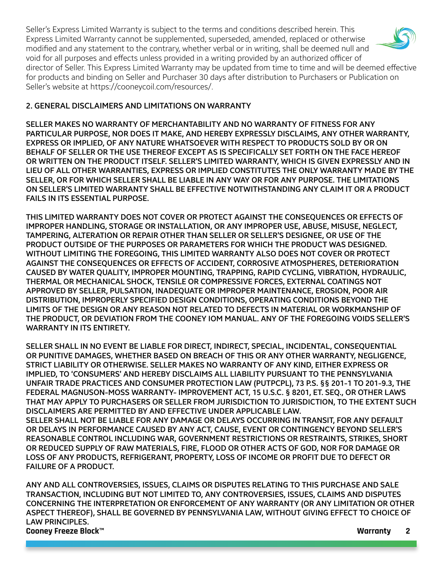Seller's Express Limited Warranty is subject to the terms and conditions described herein. This Express Limited Warranty cannot be supplemented, superseded, amended, replaced or otherwise modified and any statement to the contrary, whether verbal or in writing, shall be deemed null and void for all purposes and effects unless provided in a writing provided by an authorized officer of director of Seller. This Express Limited Warranty may be updated from time to time and will be deemed effective for products and binding on Seller and Purchaser 30 days after distribution to Purchasers or Publication on Seller's website at https://cooneycoil.com/resources/.

#### 2. GENERAL DISCLAIMERS AND LIMITATIONS ON WARRANTY

SELLER MAKES NO WARRANTY OF MERCHANTABILITY AND NO WARRANTY OF FITNESS FOR ANY PARTICULAR PURPOSE, NOR DOES IT MAKE, AND HEREBY EXPRESSLY DISCLAIMS, ANY OTHER WARRANTY, EXPRESS OR IMPLIED, OF ANY NATURE WHATSOEVER WITH RESPECT TO PRODUCTS SOLD BY OR ON BEHALF OF SELLER OR THE USE THEREOF EXCEPT AS IS SPECIFICALLY SET FORTH ON THE FACE HEREOF OR WRITTEN ON THE PRODUCT ITSELF. SELLER'S LIMITED WARRANTY, WHICH IS GIVEN EXPRESSLY AND IN LIEU OF ALL OTHER WARRANTIES, EXPRESS OR IMPLIED CONSTITUTES THE ONLY WARRANTY MADE BY THE SELLER, OR FOR WHICH SELLER SHALL BE LIABLE IN ANY WAY OR FOR ANY PURPOSE. THE LIMITATIONS ON SELLER'S LIMITED WARRANTY SHALL BE EFFECTIVE NOTWITHSTANDING ANY CLAIM IT OR A PRODUCT FAILS IN ITS ESSENTIAL PURPOSE.

THIS LIMITED WARRANTY DOES NOT COVER OR PROTECT AGAINST THE CONSEQUENCES OR EFFECTS OF IMPROPER HANDLING, STORAGE OR INSTALLATION, OR ANY IMPROPER USE, ABUSE, MISUSE, NEGLECT, TAMPERING, ALTERATION OR REPAIR OTHER THAN SELLER OR SELLER'S DESIGNEE, OR USE OF THE PRODUCT OUTSIDE OF THE PURPOSES OR PARAMETERS FOR WHICH THE PRODUCT WAS DESIGNED. WITHOUT LIMITING THE FOREGOING, THIS LIMITED WARRANTY ALSO DOES NOT COVER OR PROTECT AGAINST THE CONSEQUENCES OR EFFECTS OF ACCIDENT, CORROSIVE ATMOSPHERES, DETERIORATION CAUSED BY WATER QUALITY, IMPROPER MOUNTING, TRAPPING, RAPID CYCLING, VIBRATION, HYDRAULIC, THERMAL OR MECHANICAL SHOCK, TENSILE OR COMPRESSIVE FORCES, EXTERNAL COATINGS NOT APPROVED BY SELLER, PULSATION, INADEQUATE OR IMPROPER MAINTENANCE, EROSION, POOR AIR DISTRIBUTION, IMPROPERLY SPECIFIED DESIGN CONDITIONS, OPERATING CONDITIONS BEYOND THE LIMITS OF THE DESIGN OR ANY REASON NOT RELATED TO DEFECTS IN MATERIAL OR WORKMANSHIP OF THE PRODUCT, OR DEVIATION FROM THE COONEY IOM MANUAL. ANY OF THE FOREGOING VOIDS SELLER'S WARRANTY IN ITS ENTIRETY.

SELLER SHALL IN NO EVENT BE LIABLE FOR DIRECT, INDIRECT, SPECIAL, INCIDENTAL, CONSEQUENTIAL OR PUNITIVE DAMAGES, WHETHER BASED ON BREACH OF THIS OR ANY OTHER WARRANTY, NEGLIGENCE, STRICT LIABILITY OR OTHERWISE. SELLER MAKES NO WARRANTY OF ANY KIND, EITHER EXPRESS OR IMPLIED, TO 'CONSUMERS' AND HEREBY DISCLAIMS ALL LIABILITY PURSUANT TO THE PENNSYLVANIA UNFAIR TRADE PRACTICES AND CONSUMER PROTECTION LAW (PUTPCPL), 73 P.S. §§ 201-1 TO 201-9.3, THE FEDERAL MAGNUSON-MOSS WARRANTY- IMPROVEMENT ACT, 15 U.S.C. § 8201, ET. SEQ., OR OTHER LAWS THAT MAY APPLY TO PURCHASERS OR SELLER FROM JURISDICTION TO JURISDICTION, TO THE EXTENT SUCH DISCLAIMERS ARE PERMITTED BY AND EFFECTIVE UNDER APPLICABLE LAW. SELLER SHALL NOT BE LIABLE FOR ANY DAMAGE OR DELAYS OCCURRING IN TRANSIT, FOR ANY DEFAULT OR DELAYS IN PERFORMANCE CAUSED BY ANY ACT, CAUSE, EVENT OR CONTINGENCY BEYOND SELLER'S REASONABLE CONTROL INCLUDING WAR, GOVERNMENT RESTRICTIONS OR RESTRAINTS, STRIKES, SHORT

OR REDUCED SUPPLY OF RAW MATERIALS, FIRE, FLOOD OR OTHER ACTS OF GOD, NOR FOR DAMAGE OR LOSS OF ANY PRODUCTS, REFRIGERANT, PROPERTY, LOSS OF INCOME OR PROFIT DUE TO DEFECT OR FAILURE OF A PRODUCT.

**Cooney Freeze Block™ Warranty 2** ANY AND ALL CONTROVERSIES, ISSUES, CLAIMS OR DISPUTES RELATING TO THIS PURCHASE AND SALE TRANSACTION, INCLUDING BUT NOT LIMITED TO, ANY CONTROVERSIES, ISSUES, CLAIMS AND DISPUTES CONCERNING THE INTERPRETATION OR ENFORCEMENT OF ANY WARRANTY (OR ANY LIMITATION OR OTHER ASPECT THEREOF), SHALL BE GOVERNED BY PENNSYLVANIA LAW, WITHOUT GIVING EFFECT TO CHOICE OF LAW PRINCIPLES.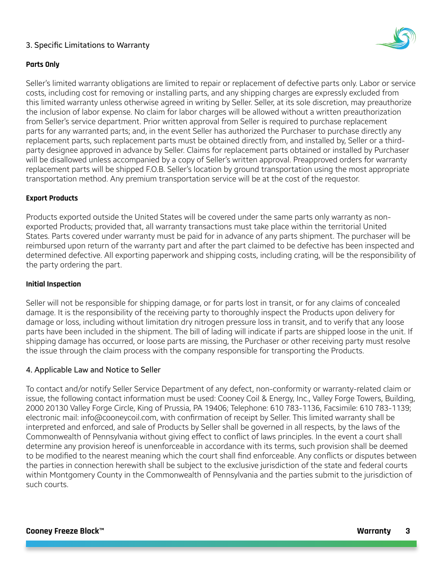#### 3. Specific Limitations to Warranty



#### **Parts Only**

Seller's limited warranty obligations are limited to repair or replacement of defective parts only. Labor or service costs, including cost for removing or installing parts, and any shipping charges are expressly excluded from this limited warranty unless otherwise agreed in writing by Seller. Seller, at its sole discretion, may preauthorize the inclusion of labor expense. No claim for labor charges will be allowed without a written preauthorization from Seller's service department. Prior written approval from Seller is required to purchase replacement parts for any warranted parts; and, in the event Seller has authorized the Purchaser to purchase directly any replacement parts, such replacement parts must be obtained directly from, and installed by, Seller or a thirdparty designee approved in advance by Seller. Claims for replacement parts obtained or installed by Purchaser will be disallowed unless accompanied by a copy of Seller's written approval. Preapproved orders for warranty replacement parts will be shipped F.O.B. Seller's location by ground transportation using the most appropriate transportation method. Any premium transportation service will be at the cost of the requestor.

#### **Export Products**

Products exported outside the United States will be covered under the same parts only warranty as nonexported Products; provided that, all warranty transactions must take place within the territorial United States. Parts covered under warranty must be paid for in advance of any parts shipment. The purchaser will be reimbursed upon return of the warranty part and after the part claimed to be defective has been inspected and determined defective. All exporting paperwork and shipping costs, including crating, will be the responsibility of the party ordering the part.

#### **Initial Inspection**

Seller will not be responsible for shipping damage, or for parts lost in transit, or for any claims of concealed damage. It is the responsibility of the receiving party to thoroughly inspect the Products upon delivery for damage or loss, including without limitation dry nitrogen pressure loss in transit, and to verify that any loose parts have been included in the shipment. The bill of lading will indicate if parts are shipped loose in the unit. If shipping damage has occurred, or loose parts are missing, the Purchaser or other receiving party must resolve the issue through the claim process with the company responsible for transporting the Products.

#### 4. Applicable Law and Notice to Seller

To contact and/or notify Seller Service Department of any defect, non-conformity or warranty-related claim or issue, the following contact information must be used: Cooney Coil & Energy, Inc., Valley Forge Towers, Building, 2000 20130 Valley Forge Circle, King of Prussia, PA 19406; Telephone: 610 783-1136, Facsimile: 610 783-1139; electronic mail: info@cooneycoil.com, with confirmation of receipt by Seller. This limited warranty shall be interpreted and enforced, and sale of Products by Seller shall be governed in all respects, by the laws of the Commonwealth of Pennsylvania without giving effect to conflict of laws principles. In the event a court shall determine any provision hereof is unenforceable in accordance with its terms, such provision shall be deemed to be modified to the nearest meaning which the court shall find enforceable. Any conflicts or disputes between the parties in connection herewith shall be subject to the exclusive jurisdiction of the state and federal courts within Montgomery County in the Commonwealth of Pennsylvania and the parties submit to the jurisdiction of such courts.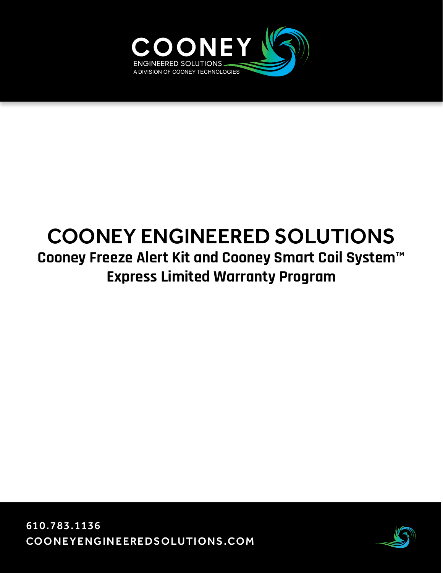

## COONEY ENGINEERED SOLUTIONS **Cooney Freeze Alert Kit and Cooney Smart Coil System™ Express Limited Warranty Program**

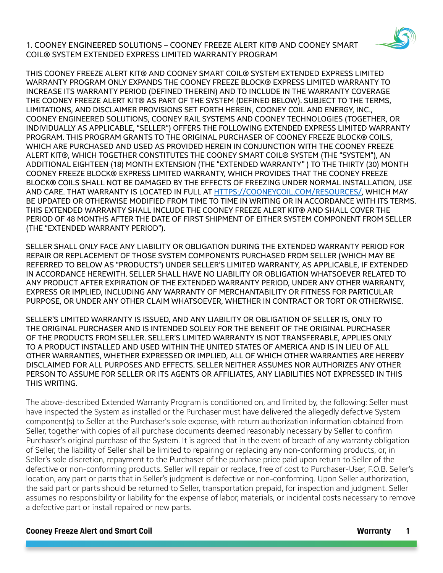1. COONEY ENGINEERED SOLUTIONS – COONEY FREEZE ALERT KIT® AND COONEY SMART COIL® SYSTEM EXTENDED EXPRESS LIMITED WARRANTY PROGRAM



THIS COONEY FREEZE ALERT KIT® AND COONEY SMART COIL® SYSTEM EXTENDED EXPRESS LIMITED WARRANTY PROGRAM ONLY EXPANDS THE COONEY FREEZE BLOCK® EXPRESS LIMITED WARRANTY TO INCREASE ITS WARRANTY PERIOD (DEFINED THEREIN) AND TO INCLUDE IN THE WARRANTY COVERAGE THE COONEY FREEZE ALERT KIT® AS PART OF THE SYSTEM (DEFINED BELOW). SUBJECT TO THE TERMS, LIMITATIONS, AND DISCLAIMER PROVISIONS SET FORTH HEREIN, COONEY COIL AND ENERGY, INC., COONEY ENGINEERED SOLUTIONS, COONEY RAIL SYSTEMS AND COONEY TECHNOLOGIES (TOGETHER, OR INDIVIDUALLY AS APPLICABLE, "SELLER") OFFERS THE FOLLOWING EXTENDED EXPRESS LIMITED WARRANTY PROGRAM. THIS PROGRAM GRANTS TO THE ORIGINAL PURCHASER OF COONEY FREEZE BLOCK® COILS, WHICH ARE PURCHASED AND USED AS PROVIDED HEREIN IN CONJUNCTION WITH THE COONEY FREEZE ALERT KIT®, WHICH TOGETHER CONSTITUTES THE COONEY SMART COIL® SYSTEM (THE "SYSTEM"), AN ADDITIONAL EIGHTEEN (18) MONTH EXTENSION (THE "EXTENDED WARRANTY" ) TO THE THIRTY (30) MONTH COONEY FREEZE BLOCK® EXPRESS LIMITED WARRANTY, WHICH PROVIDES THAT THE COONEY FREEZE BLOCK® COILS SHALL NOT BE DAMAGED BY THE EFFECTS OF FREEZING UNDER NORMAL INSTALLATION, USE AND CARE. THAT WARRANTY IS LOCATED IN FULL AT <HTTPS://COONEYCOIL.COM/RESOURCES/>, WHICH MAY BE UPDATED OR OTHERWISE MODIFIED FROM TIME TO TIME IN WRITING OR IN ACCORDANCE WITH ITS TERMS. THIS EXTENDED WARRANTY SHALL INCLUDE THE COONEY FREEZE ALERT KIT® AND SHALL COVER THE PERIOD OF 48 MONTHS AFTER THE DATE OF FIRST SHIPMENT OF EITHER SYSTEM COMPONENT FROM SELLER (THE "EXTENDED WARRANTY PERIOD").

SELLER SHALL ONLY FACE ANY LIABILITY OR OBLIGATION DURING THE EXTENDED WARRANTY PERIOD FOR REPAIR OR REPLACEMENT OF THOSE SYSTEM COMPONENTS PURCHASED FROM SELLER (WHICH MAY BE REFERRED TO BELOW AS "PRODUCTS") UNDER SELLER'S LIMITED WARRANTY, AS APPLICABLE, IF EXTENDED IN ACCORDANCE HEREWITH. SELLER SHALL HAVE NO LIABILITY OR OBLIGATION WHATSOEVER RELATED TO ANY PRODUCT AFTER EXPIRATION OF THE EXTENDED WARRANTY PERIOD, UNDER ANY OTHER WARRANTY, EXPRESS OR IMPLIED, INCLUDING ANY WARRANTY OF MERCHANTABILITY OR FITNESS FOR PARTICULAR PURPOSE, OR UNDER ANY OTHER CLAIM WHATSOEVER, WHETHER IN CONTRACT OR TORT OR OTHERWISE.

SELLER'S LIMITED WARRANTY IS ISSUED, AND ANY LIABILITY OR OBLIGATION OF SELLER IS, ONLY TO THE ORIGINAL PURCHASER AND IS INTENDED SOLELY FOR THE BENEFIT OF THE ORIGINAL PURCHASER OF THE PRODUCTS FROM SELLER. SELLER'S LIMITED WARRANTY IS NOT TRANSFERABLE, APPLIES ONLY TO A PRODUCT INSTALLED AND USED WITHIN THE UNITED STATES OF AMERICA AND IS IN LIEU OF ALL OTHER WARRANTIES, WHETHER EXPRESSED OR IMPLIED, ALL OF WHICH OTHER WARRANTIES ARE HEREBY DISCLAIMED FOR ALL PURPOSES AND EFFECTS. SELLER NEITHER ASSUMES NOR AUTHORIZES ANY OTHER PERSON TO ASSUME FOR SELLER OR ITS AGENTS OR AFFILIATES, ANY LIABILITIES NOT EXPRESSED IN THIS THIS WRITING.

The above-described Extended Warranty Program is conditioned on, and limited by, the following: Seller must have inspected the System as installed or the Purchaser must have delivered the allegedly defective System component(s) to Seller at the Purchaser's sole expense, with return authorization information obtained from Seller, together with copies of all purchase documents deemed reasonably necessary by Seller to confirm Purchaser's original purchase of the System. It is agreed that in the event of breach of any warranty obligation of Seller, the liability of Seller shall be limited to repairing or replacing any non-conforming products, or, in Seller's sole discretion, repayment to the Purchaser of the purchase price paid upon return to Seller of the defective or non-conforming products. Seller will repair or replace, free of cost to Purchaser-User, F.O.B. Seller's location, any part or parts that in Seller's judgment is defective or non-conforming. Upon Seller authorization, the said part or parts should be returned to Seller, transportation prepaid, for inspection and judgment. Seller assumes no responsibility or liability for the expense of labor, materials, or incidental costs necessary to remove a defective part or install repaired or new parts.

#### **Cooney Freeze Alert and Smart Coil Warranty 1**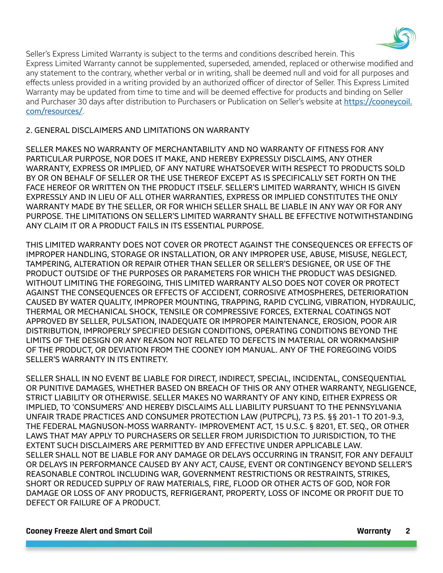

Seller's Express Limited Warranty is subject to the terms and conditions described herein. This Express Limited Warranty cannot be supplemented, superseded, amended, replaced or otherwise modified and any statement to the contrary, whether verbal or in writing, shall be deemed null and void for all purposes and effects unless provided in a writing provided by an authorized officer of director of Seller. This Express Limited Warranty may be updated from time to time and will be deemed effective for products and binding on Seller and Purchaser 30 days after distribution to Purchasers or Publication on Seller's website at [https://cooneycoil.](https://cooneycoil.com/resources/) [com/resources/](https://cooneycoil.com/resources/).

#### 2. GENERAL DISCLAIMERS AND LIMITATIONS ON WARRANTY

SELLER MAKES NO WARRANTY OF MERCHANTABILITY AND NO WARRANTY OF FITNESS FOR ANY PARTICULAR PURPOSE, NOR DOES IT MAKE, AND HEREBY EXPRESSLY DISCLAIMS, ANY OTHER WARRANTY, EXPRESS OR IMPLIED, OF ANY NATURE WHATSOEVER WITH RESPECT TO PRODUCTS SOLD BY OR ON BEHALF OF SELLER OR THE USE THEREOF EXCEPT AS IS SPECIFICALLY SET FORTH ON THE FACE HEREOF OR WRITTEN ON THE PRODUCT ITSELF. SELLER'S LIMITED WARRANTY, WHICH IS GIVEN EXPRESSLY AND IN LIEU OF ALL OTHER WARRANTIES, EXPRESS OR IMPLIED CONSTITUTES THE ONLY WARRANTY MADE BY THE SELLER, OR FOR WHICH SELLER SHALL BE LIABLE IN ANY WAY OR FOR ANY PURPOSE. THE LIMITATIONS ON SELLER'S LIMITED WARRANTY SHALL BE EFFECTIVE NOTWITHSTANDING ANY CLAIM IT OR A PRODUCT FAILS IN ITS ESSENTIAL PURPOSE.

THIS LIMITED WARRANTY DOES NOT COVER OR PROTECT AGAINST THE CONSEQUENCES OR EFFECTS OF IMPROPER HANDLING, STORAGE OR INSTALLATION, OR ANY IMPROPER USE, ABUSE, MISUSE, NEGLECT, TAMPERING, ALTERATION OR REPAIR OTHER THAN SELLER OR SELLER'S DESIGNEE, OR USE OF THE PRODUCT OUTSIDE OF THE PURPOSES OR PARAMETERS FOR WHICH THE PRODUCT WAS DESIGNED. WITHOUT LIMITING THE FOREGOING, THIS LIMITED WARRANTY ALSO DOES NOT COVER OR PROTECT AGAINST THE CONSEQUENCES OR EFFECTS OF ACCIDENT, CORROSIVE ATMOSPHERES, DETERIORATION CAUSED BY WATER QUALITY, IMPROPER MOUNTING, TRAPPING, RAPID CYCLING, VIBRATION, HYDRAULIC, THERMAL OR MECHANICAL SHOCK, TENSILE OR COMPRESSIVE FORCES, EXTERNAL COATINGS NOT APPROVED BY SELLER, PULSATION, INADEQUATE OR IMPROPER MAINTENANCE, EROSION, POOR AIR DISTRIBUTION, IMPROPERLY SPECIFIED DESIGN CONDITIONS, OPERATING CONDITIONS BEYOND THE LIMITS OF THE DESIGN OR ANY REASON NOT RELATED TO DEFECTS IN MATERIAL OR WORKMANSHIP OF THE PRODUCT, OR DEVIATION FROM THE COONEY IOM MANUAL. ANY OF THE FOREGOING VOIDS SELLER'S WARRANTY IN ITS ENTIRETY.

SELLER SHALL IN NO EVENT BE LIABLE FOR DIRECT, INDIRECT, SPECIAL, INCIDENTAL, CONSEQUENTIAL OR PUNITIVE DAMAGES, WHETHER BASED ON BREACH OF THIS OR ANY OTHER WARRANTY, NEGLIGENCE, STRICT LIABILITY OR OTHERWISE. SELLER MAKES NO WARRANTY OF ANY KIND, EITHER EXPRESS OR IMPLIED, TO 'CONSUMERS' AND HEREBY DISCLAIMS ALL LIABILITY PURSUANT TO THE PENNSYLVANIA UNFAIR TRADE PRACTICES AND CONSUMER PROTECTION LAW (PUTPCPL), 73 P.S. §§ 201-1 TO 201-9.3, THE FEDERAL MAGNUSON-MOSS WARRANTY- IMPROVEMENT ACT, 15 U.S.C. § 8201, ET. SEQ., OR OTHER LAWS THAT MAY APPLY TO PURCHASERS OR SELLER FROM JURISDICTION TO JURISDICTION, TO THE EXTENT SUCH DISCLAIMERS ARE PERMITTED BY AND EFFECTIVE UNDER APPLICABLE LAW. SELLER SHALL NOT BE LIABLE FOR ANY DAMAGE OR DELAYS OCCURRING IN TRANSIT, FOR ANY DEFAULT OR DELAYS IN PERFORMANCE CAUSED BY ANY ACT, CAUSE, EVENT OR CONTINGENCY BEYOND SELLER'S REASONABLE CONTROL INCLUDING WAR, GOVERNMENT RESTRICTIONS OR RESTRAINTS, STRIKES, SHORT OR REDUCED SUPPLY OF RAW MATERIALS, FIRE, FLOOD OR OTHER ACTS OF GOD, NOR FOR DAMAGE OR LOSS OF ANY PRODUCTS, REFRIGERANT, PROPERTY, LOSS OF INCOME OR PROFIT DUE TO DEFECT OR FAILURE OF A PRODUCT.